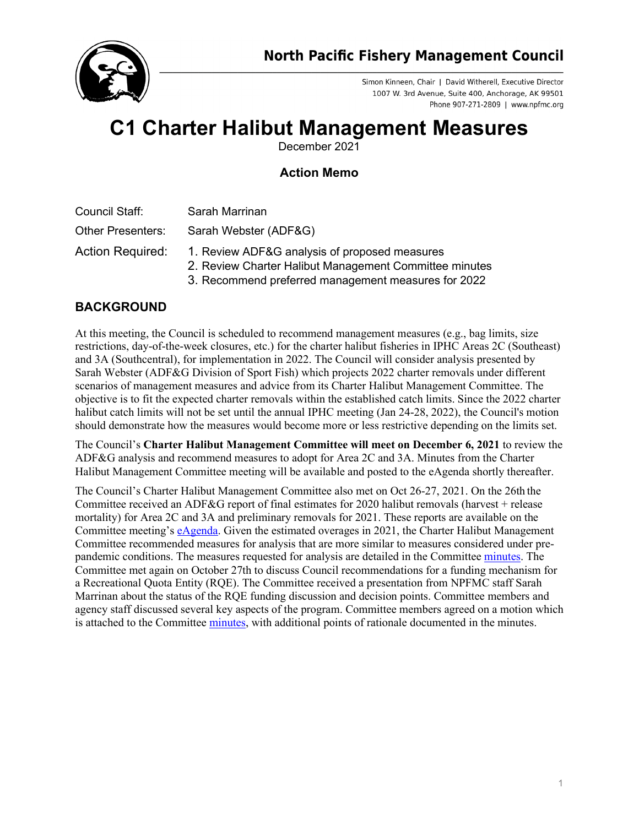

Simon Kinneen, Chair | David Witherell, Executive Director 1007 W. 3rd Avenue, Suite 400, Anchorage, AK 99501 Phone 907-271-2809 | www.npfmc.org

## **C1 Charter Halibut Management Measures**

December 2021

## **Action Memo**

Council Staff: Sarah Marrinan

Other Presenters: Sarah Webster (ADF&G)

- Action Required: 1. Review ADF&G analysis of proposed measures
	- 2. Review Charter Halibut Management Committee minutes
	- 3. Recommend preferred management measures for 2022

## **BACKGROUND**

At this meeting, the Council is scheduled to recommend management measures (e.g., bag limits, size restrictions, day-of-the-week closures, etc.) for the charter halibut fisheries in IPHC Areas 2C (Southeast) and 3A (Southcentral), for implementation in 2022. The Council will consider analysis presented by Sarah Webster (ADF&G Division of Sport Fish) which projects 2022 charter removals under different scenarios of management measures and advice from its Charter Halibut Management Committee. The objective is to fit the expected charter removals within the established catch limits. Since the 2022 charter halibut catch limits will not be set until the annual IPHC meeting (Jan 24-28, 2022), the Council's motion should demonstrate how the measures would become more or less restrictive depending on the limits set.

The Council's **Charter Halibut Management Committee will meet on December 6, 2021** to review the ADF&G analysis and recommend measures to adopt for Area 2C and 3A. Minutes from the Charter Halibut Management Committee meeting will be available and posted to the eAgenda shortly thereafter.

The Council's Charter Halibut Management Committee also met on Oct 26-27, 2021. On the 26th the Committee received an ADF&G report of final estimates for 2020 halibut removals (harvest + release mortality) for Area 2C and 3A and preliminary removals for 2021. These reports are available on the Committee meeting's [eAgenda.](https://meetings.npfmc.org/Meeting/Details/2495) Given the estimated overages in 2021, the Charter Halibut Management Committee recommended measures for analysis that are more similar to measures considered under prepandemic conditions. The measures requested for analysis are detailed in the Committee [minutes.](https://meetings.npfmc.org/CommentReview/DownloadFile?p=5d9cc03d-6687-472f-972f-7462fff62299.pdf&fileName=C1%20Charter%20Halibut%20Management%20Committee%20October%20Report.pdf) The Committee met again on October 27th to discuss Council recommendations for a funding mechanism for a Recreational Quota Entity (RQE). The Committee received a presentation from NPFMC staff Sarah Marrinan about the status of the RQE funding discussion and decision points. Committee members and agency staff discussed several key aspects of the program. Committee members agreed on a motion which is attached to the Committee [minutes,](https://meetings.npfmc.org/CommentReview/DownloadFile?p=5d9cc03d-6687-472f-972f-7462fff62299.pdf&fileName=C1%20Charter%20Halibut%20Management%20Committee%20October%20Report.pdf) with additional points of rationale documented in the minutes.